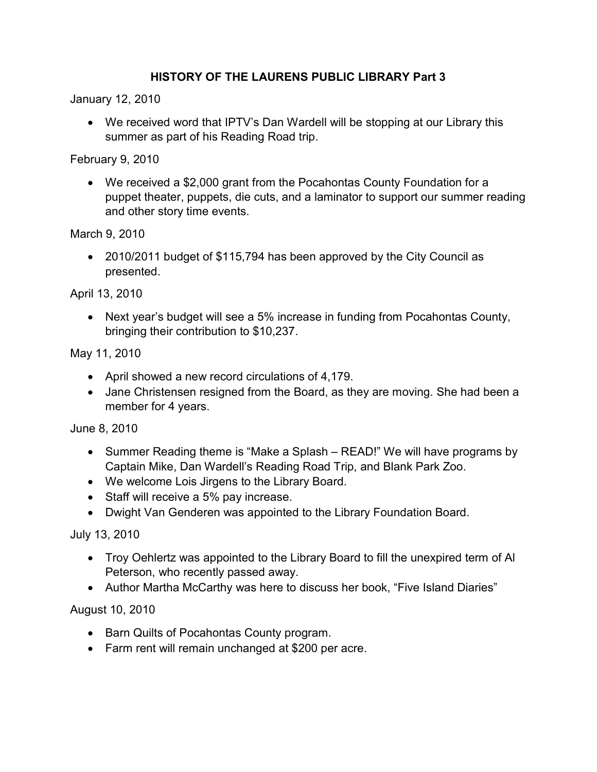## HISTORY OF THE LAURENS PUBLIC LIBRARY Part 3

January 12, 2010

 We received word that IPTV's Dan Wardell will be stopping at our Library this summer as part of his Reading Road trip.

February 9, 2010

 We received a \$2,000 grant from the Pocahontas County Foundation for a puppet theater, puppets, die cuts, and a laminator to support our summer reading and other story time events.

March 9, 2010

 2010/2011 budget of \$115,794 has been approved by the City Council as presented.

April 13, 2010

 Next year's budget will see a 5% increase in funding from Pocahontas County, bringing their contribution to \$10,237.

May 11, 2010

- April showed a new record circulations of 4,179.
- Jane Christensen resigned from the Board, as they are moving. She had been a member for 4 years.

June 8, 2010

- Summer Reading theme is "Make a Splash READ!" We will have programs by Captain Mike, Dan Wardell's Reading Road Trip, and Blank Park Zoo.
- We welcome Lois Jirgens to the Library Board.
- Staff will receive a 5% pay increase.
- Dwight Van Genderen was appointed to the Library Foundation Board.

July 13, 2010

- Troy Oehlertz was appointed to the Library Board to fill the unexpired term of Al Peterson, who recently passed away.
- Author Martha McCarthy was here to discuss her book, "Five Island Diaries"

August 10, 2010

- Barn Quilts of Pocahontas County program.
- Farm rent will remain unchanged at \$200 per acre.